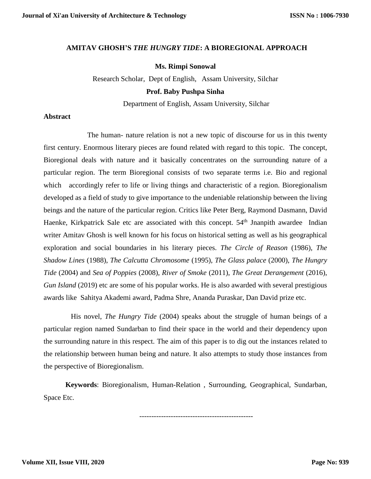## **AMITAV GHOSH'S** *THE HUNGRY TIDE***: A BIOREGIONAL APPROACH**

## **Ms. Rimpi Sonowal**

Research Scholar, Dept of English, Assam University, Silchar

#### **Prof. Baby Pushpa Sinha**

Department of English, Assam University, Silchar

## **Abstract**

The human- nature relation is not a new topic of discourse for us in this twenty first century. Enormous literary pieces are found related with regard to this topic. The concept, Bioregional deals with nature and it basically concentrates on the surrounding nature of a particular region. The term Bioregional consists of two separate terms i.e. Bio and regional which accordingly refer to life or living things and characteristic of a region. Bioregionalism developed as a field of study to give importance to the undeniable relationship between the living beings and the nature of the particular region. Critics like Peter Berg, Raymond Dasmann, David Haenke, Kirkpatrick Sale etc are associated with this concept. 54<sup>th</sup> Jnanpith awardee Indian writer Amitav Ghosh is well known for his focus on historical setting as well as his geographical exploration and social boundaries in his literary pieces. *The Circle of Reason* (1986), *The Shadow Lines* (1988), *The Calcutta Chromosome* (1995), *The Glass palace* (2000), *The Hungry Tide* (2004) and *Sea of Poppies* (2008), *River of Smoke* (2011), *The Great Derangement* (2016), *Gun Island* (2019) etc are some of his popular works. He is also awarded with several prestigious awards like Sahitya Akademi award, Padma Shre, Ananda Puraskar, Dan David prize etc.

His novel, *The Hungry Tide* (2004) speaks about the struggle of human beings of a particular region named Sundarban to find their space in the world and their dependency upon the surrounding nature in this respect. The aim of this paper is to dig out the instances related to the relationship between human being and nature. It also attempts to study those instances from the perspective of Bioregionalism.

**Keywords**: Bioregionalism, Human-Relation , Surrounding, Geographical, Sundarban, Space Etc.

-----------------------------------------------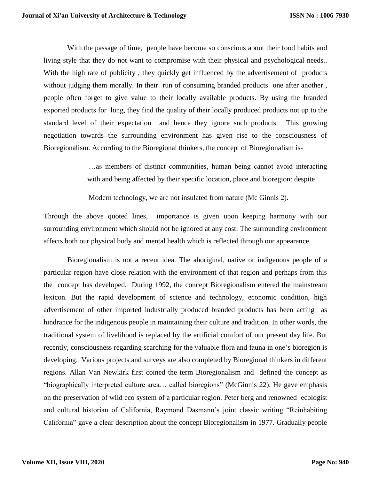With the passage of time, people have become so conscious about their food habits and living style that they do not want to compromise with their physical and psychological needs.. With the high rate of publicity, they quickly get influenced by the advertisement of products without judging them morally. In their run of consuming branded products one after another, people often forget to give value to their locally available products. By using the branded exported products for long, they find the quality of their locally produced products not up to the standard level of their expectation and hence they ignore such products. This growing negotiation towards the surrounding environment has given rise to the consciousness of Bioregionalism. According to the Bioregional thinkers, the concept of Bioregionalism is-

> …as members of distinct communities, human being cannot avoid interacting with and being affected by their specific location, place and bioregion: despite

Modern technology, we are not insulated from nature (Mc Ginnis 2).

Through the above quoted lines, importance is given upon keeping harmony with our surrounding environment which should not be ignored at any cost. The surrounding environment affects both our physical body and mental health which is reflected through our appearance.

Bioregionalism is not a recent idea. The aboriginal, native or indigenous people of a particular region have close relation with the environment of that region and perhaps from this the concept has developed. During 1992, the concept Bioregionalism entered the mainstream lexicon. But the rapid development of science and technology, economic condition, high advertisement of other imported industrially produced branded products has been acting as hindrance for the indigenous people in maintaining their culture and tradition. In other words, the traditional system of livelihood is replaced by the artificial comfort of our present day life. But recently, consciousness regarding searching for the valuable flora and fauna in one's bioregion is developing. Various projects and surveys are also completed by Bioregional thinkers in different regions. Allan Van Newkirk first coined the term Bioregionalism and defined the concept as "biographically interpreted culture area… called bioregions" (McGinnis 22). He gave emphasis on the preservation of wild eco system of a particular region. Peter berg and renowned ecologist and cultural historian of California, Raymond Dasmann's joint classic writing "Reinhabiting California" gave a clear description about the concept Bioregionalism in 1977. Gradually people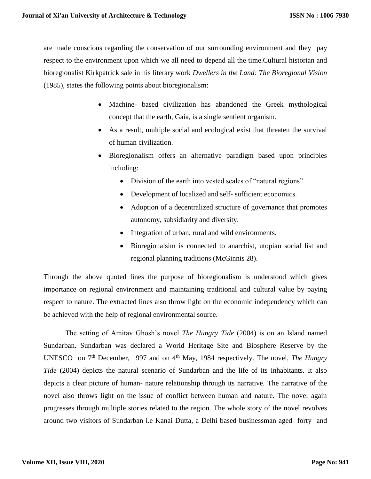are made conscious regarding the conservation of our surrounding environment and they pay respect to the environment upon which we all need to depend all the time.Cultural historian and bioregionalist Kirkpatrick sale in his literary work *Dwellers in the Land: The Bioregional Vision* (1985), states the following points about bioregionalism:

- Machine- based civilization has abandoned the Greek mythological concept that the earth, Gaia, is a single sentient organism.
- As a result, multiple social and ecological exist that threaten the survival of human civilization.
- Bioregionalism offers an alternative paradigm based upon principles including:
	- Division of the earth into vested scales of "natural regions"
	- Development of localized and self- sufficient economics.
	- Adoption of a decentralized structure of governance that promotes autonomy, subsidiarity and diversity.
	- Integration of urban, rural and wild environments.
	- Bioregionalsim is connected to anarchist, utopian social list and regional planning traditions (McGinnis 28).

Through the above quoted lines the purpose of bioregionalism is understood which gives importance on regional environment and maintaining traditional and cultural value by paying respect to nature. The extracted lines also throw light on the economic independency which can be achieved with the help of regional environmental source.

 The setting of Amitav Ghosh's novel *The Hungry Tide* (2004) is on an Island named Sundarban. Sundarban was declared a World Heritage Site and Biosphere Reserve by the UNESCO on 7<sup>th</sup> December, 1997 and on 4<sup>th</sup> May, 1984 respectively. The novel, *The Hungry Tide* (2004) depicts the natural scenario of Sundarban and the life of its inhabitants. It also depicts a clear picture of human- nature relationship through its narrative. The narrative of the novel also throws light on the issue of conflict between human and nature. The novel again progresses through multiple stories related to the region. The whole story of the novel revolves around two visitors of Sundarban i.e Kanai Dutta, a Delhi based businessman aged forty and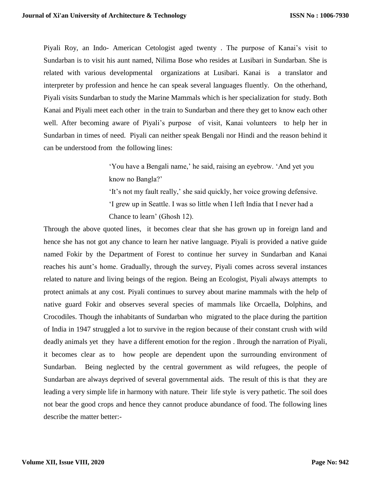Piyali Roy, an Indo- American Cetologist aged twenty . The purpose of Kanai's visit to Sundarban is to visit his aunt named, Nilima Bose who resides at Lusibari in Sundarban. She is related with various developmental organizations at Lusibari. Kanai is a translator and interpreter by profession and hence he can speak several languages fluently. On the otherhand, Piyali visits Sundarban to study the Marine Mammals which is her specialization for study. Both Kanai and Piyali meet each other in the train to Sundarban and there they get to know each other well. After becoming aware of Piyali's purpose of visit, Kanai volunteers to help her in Sundarban in times of need. Piyali can neither speak Bengali nor Hindi and the reason behind it can be understood from the following lines:

> 'You have a Bengali name,' he said, raising an eyebrow. 'And yet you know no Bangla?'

'It's not my fault really,' she said quickly, her voice growing defensive. 'I grew up in Seattle. I was so little when I left India that I never had a Chance to learn' (Ghosh 12).

Through the above quoted lines, it becomes clear that she has grown up in foreign land and hence she has not got any chance to learn her native language. Piyali is provided a native guide named Fokir by the Department of Forest to continue her survey in Sundarban and Kanai reaches his aunt's home. Gradually, through the survey, Piyali comes across several instances related to nature and living beings of the region. Being an Ecologist, Piyali always attempts to protect animals at any cost. Piyali continues to survey about marine mammals with the help of native guard Fokir and observes several species of mammals like Orcaella, Dolphins, and Crocodiles. Though the inhabitants of Sundarban who migrated to the place during the partition of India in 1947 struggled a lot to survive in the region because of their constant crush with wild deadly animals yet they have a different emotion for the region . Ihrough the narration of Piyali, it becomes clear as to how people are dependent upon the surrounding environment of Sundarban. Being neglected by the central government as wild refugees, the people of Sundarban are always deprived of several governmental aids. The result of this is that they are leading a very simple life in harmony with nature. Their life style is very pathetic. The soil does not bear the good crops and hence they cannot produce abundance of food. The following lines describe the matter better:-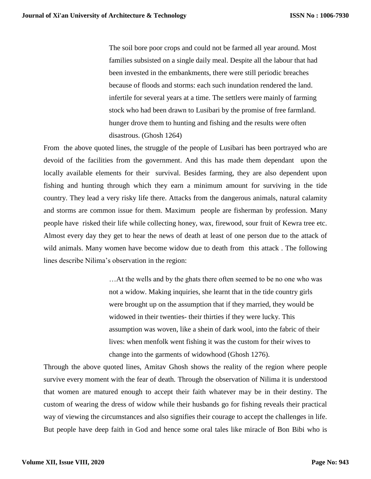The soil bore poor crops and could not be farmed all year around. Most families subsisted on a single daily meal. Despite all the labour that had been invested in the embankments, there were still periodic breaches because of floods and storms: each such inundation rendered the land. infertile for several years at a time. The settlers were mainly of farming stock who had been drawn to Lusibari by the promise of free farmland. hunger drove them to hunting and fishing and the results were often disastrous. (Ghosh 1264)

From the above quoted lines, the struggle of the people of Lusibari has been portrayed who are devoid of the facilities from the government. And this has made them dependant upon the locally available elements for their survival. Besides farming, they are also dependent upon fishing and hunting through which they earn a minimum amount for surviving in the tide country. They lead a very risky life there. Attacks from the dangerous animals, natural calamity and storms are common issue for them. Maximum people are fisherman by profession. Many people have risked their life while collecting honey, wax, firewood, sour fruit of Kewra tree etc. Almost every day they get to hear the news of death at least of one person due to the attack of wild animals. Many women have become widow due to death from this attack . The following lines describe Nilima's observation in the region:

> …At the wells and by the ghats there often seemed to be no one who was not a widow. Making inquiries, she learnt that in the tide country girls were brought up on the assumption that if they married, they would be widowed in their twenties- their thirties if they were lucky. This assumption was woven, like a shein of dark wool, into the fabric of their lives: when menfolk went fishing it was the custom for their wives to change into the garments of widowhood (Ghosh 1276).

Through the above quoted lines, Amitav Ghosh shows the reality of the region where people survive every moment with the fear of death. Through the observation of Nilima it is understood that women are matured enough to accept their faith whatever may be in their destiny. The custom of wearing the dress of widow while their husbands go for fishing reveals their practical way of viewing the circumstances and also signifies their courage to accept the challenges in life. But people have deep faith in God and hence some oral tales like miracle of Bon Bibi who is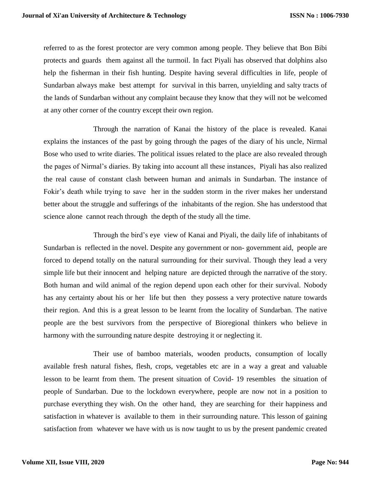referred to as the forest protector are very common among people. They believe that Bon Bibi protects and guards them against all the turmoil. In fact Piyali has observed that dolphins also help the fisherman in their fish hunting. Despite having several difficulties in life, people of Sundarban always make best attempt for survival in this barren, unyielding and salty tracts of the lands of Sundarban without any complaint because they know that they will not be welcomed at any other corner of the country except their own region.

Through the narration of Kanai the history of the place is revealed. Kanai explains the instances of the past by going through the pages of the diary of his uncle, Nirmal Bose who used to write diaries. The political issues related to the place are also revealed through the pages of Nirmal's diaries. By taking into account all these instances, Piyali has also realized the real cause of constant clash between human and animals in Sundarban. The instance of Fokir's death while trying to save her in the sudden storm in the river makes her understand better about the struggle and sufferings of the inhabitants of the region. She has understood that science alone cannot reach through the depth of the study all the time.

Through the bird's eye view of Kanai and Piyali, the daily life of inhabitants of Sundarban is reflected in the novel. Despite any government or non- government aid, people are forced to depend totally on the natural surrounding for their survival. Though they lead a very simple life but their innocent and helping nature are depicted through the narrative of the story. Both human and wild animal of the region depend upon each other for their survival. Nobody has any certainty about his or her life but then they possess a very protective nature towards their region. And this is a great lesson to be learnt from the locality of Sundarban. The native people are the best survivors from the perspective of Bioregional thinkers who believe in harmony with the surrounding nature despite destroying it or neglecting it.

Their use of bamboo materials, wooden products, consumption of locally available fresh natural fishes, flesh, crops, vegetables etc are in a way a great and valuable lesson to be learnt from them. The present situation of Covid- 19 resembles the situation of people of Sundarban. Due to the lockdown everywhere, people are now not in a position to purchase everything they wish. On the other hand, they are searching for their happiness and satisfaction in whatever is available to them in their surrounding nature. This lesson of gaining satisfaction from whatever we have with us is now taught to us by the present pandemic created